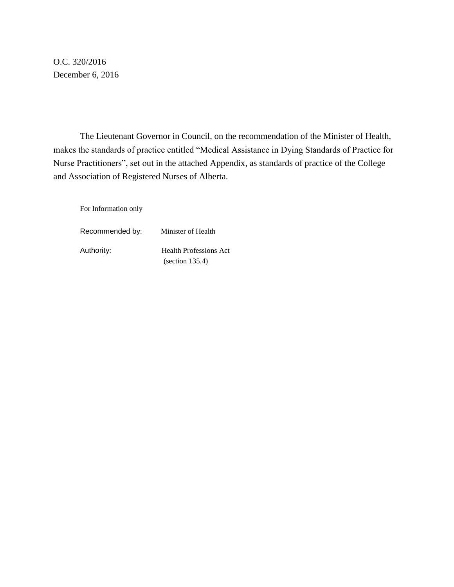O.C. 320/2016 December 6, 2016

 The Lieutenant Governor in Council, on the recommendation of the Minister of Health, makes the standards of practice entitled "Medical Assistance in Dying Standards of Practice for Nurse Practitioners", set out in the attached Appendix, as standards of practice of the College and Association of Registered Nurses of Alberta.

For Information only

Recommended by: Minister of Health Authority: Health Professions Act (section 135.4)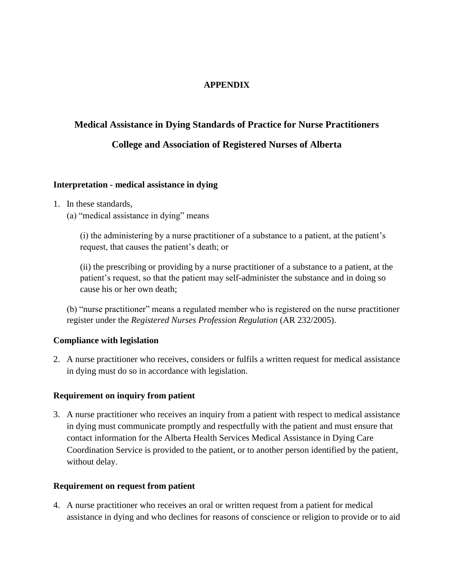### **APPENDIX**

# **Medical Assistance in Dying Standards of Practice for Nurse Practitioners**

# **College and Association of Registered Nurses of Alberta**

#### **Interpretation - medical assistance in dying**

- 1. In these standards,
	- (a) "medical assistance in dying" means

(i) the administering by a nurse practitioner of a substance to a patient, at the patient's request, that causes the patient's death; or

(ii) the prescribing or providing by a nurse practitioner of a substance to a patient, at the patient's request, so that the patient may self-administer the substance and in doing so cause his or her own death;

 (b) "nurse practitioner" means a regulated member who is registered on the nurse practitioner register under the *Registered Nurses Profession Regulation* (AR 232/2005).

### **Compliance with legislation**

2. A nurse practitioner who receives, considers or fulfils a written request for medical assistance in dying must do so in accordance with legislation.

### **Requirement on inquiry from patient**

3. A nurse practitioner who receives an inquiry from a patient with respect to medical assistance in dying must communicate promptly and respectfully with the patient and must ensure that contact information for the Alberta Health Services Medical Assistance in Dying Care Coordination Service is provided to the patient, or to another person identified by the patient, without delay.

### **Requirement on request from patient**

4. A nurse practitioner who receives an oral or written request from a patient for medical assistance in dying and who declines for reasons of conscience or religion to provide or to aid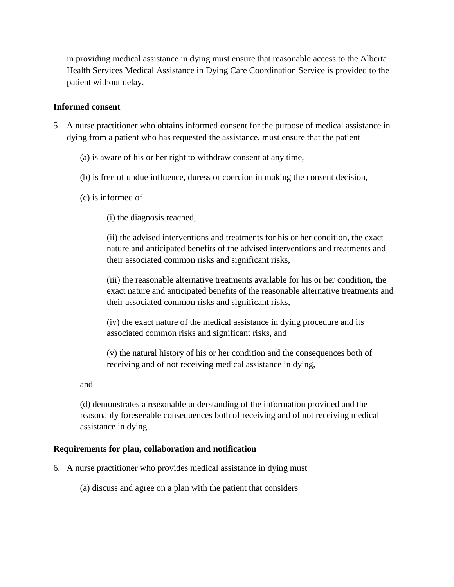in providing medical assistance in dying must ensure that reasonable access to the Alberta Health Services Medical Assistance in Dying Care Coordination Service is provided to the patient without delay.

#### **Informed consent**

- 5. A nurse practitioner who obtains informed consent for the purpose of medical assistance in dying from a patient who has requested the assistance, must ensure that the patient
	- (a) is aware of his or her right to withdraw consent at any time,
	- (b) is free of undue influence, duress or coercion in making the consent decision,
	- (c) is informed of

(i) the diagnosis reached,

(ii) the advised interventions and treatments for his or her condition, the exact nature and anticipated benefits of the advised interventions and treatments and their associated common risks and significant risks,

(iii) the reasonable alternative treatments available for his or her condition, the exact nature and anticipated benefits of the reasonable alternative treatments and their associated common risks and significant risks,

(iv) the exact nature of the medical assistance in dying procedure and its associated common risks and significant risks, and

(v) the natural history of his or her condition and the consequences both of receiving and of not receiving medical assistance in dying,

and

(d) demonstrates a reasonable understanding of the information provided and the reasonably foreseeable consequences both of receiving and of not receiving medical assistance in dying.

### **Requirements for plan, collaboration and notification**

6. A nurse practitioner who provides medical assistance in dying must

(a) discuss and agree on a plan with the patient that considers